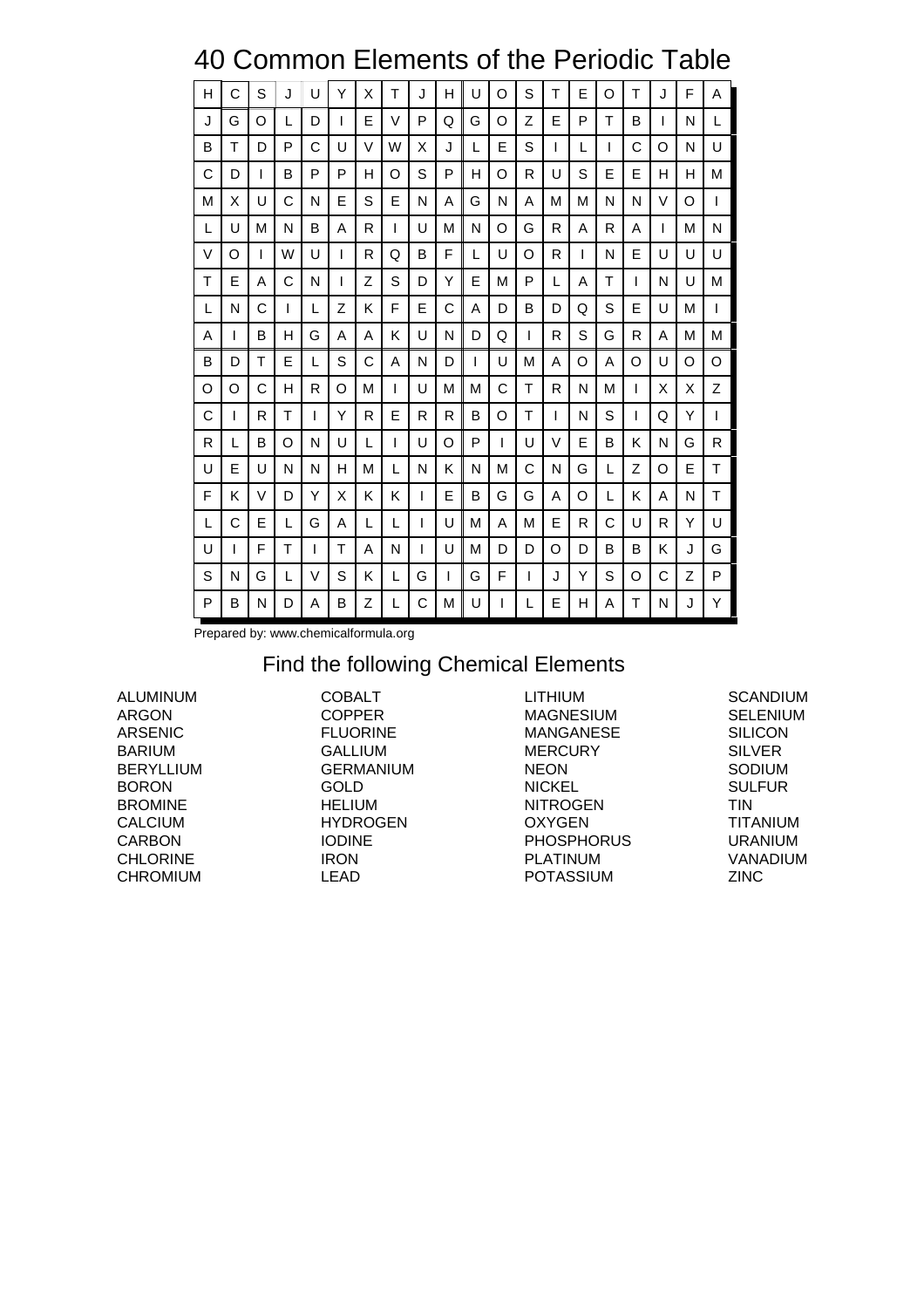## 40 Common Elements of the Periodic Table

| H | C | S | J | U            | Y | X | т | J | н | U | O | S | т | E | O | т | J | F | A |
|---|---|---|---|--------------|---|---|---|---|---|---|---|---|---|---|---|---|---|---|---|
| J | G | O | L | D            | I | E | V | P | Q | G | O | Z | E | P | Τ | в | L | N | L |
| B | Τ | D | P | C            | U | V | W | X | J | L | E | S | I | L | T | C | O | N | U |
| С | D | L | В | P            | P | н | O | S | P | н | O | R | U | S | Е | E | н | н | М |
| M | X | U | C | N            | E | S | E | N | Α | G | N | A | М | М | N | N | V | O | 1 |
| L | U | M | N | B            | A | R | I | U | M | N | O | G | R | A | R | A | I | M | N |
| V | O | L | W | U            | I | R | Q | B | F | L | U | O | R | I | N | E | U | U | U |
| т | E | Α | C | N            | I | Z | S | D | Υ | Е | м | P | L | A | т | I | N | U | M |
| L | N | C | I | L            | Z | Κ | F | Е | C | Α | D | В | D | Q | S | E | U | M | I |
| A | L | в | н | G            | A | A | Κ | U | N | D | Q | I | R | S | G | R | Α | M | M |
| B | D | т | E | L            | S | C | A | N | D | I | U | М | A | O | A | O | U | O | O |
| O | O | C | н | $\mathsf{R}$ | O | м | I | U | М | м | C | Т | R | N | М | I | X | X | Z |
| C | L | R | т | L            | Y | R | E | R | R | в | O | т | I | N | S | I | Q | Υ | I |
| R | L | B | O | N            | U | L | I | U | O | P | L | U | V | E | B | κ | N | G | R |
| U | E | U | N | N            | н | м | L | N | K | N | M | C | N | G | L | Z | O | E | Τ |
| F | Κ | V | D | Y            | X | Κ | Κ | I | E | в | G | G | Α | O | L | κ | Α | N | T |
| L | C | E | L | G            | A | L | L | T | U | M | A | M | E | R | C | U | R | Υ | U |
| U | L | F | т | L            | Т | A | N | L | U | M | D | D | O | D | B | B | Κ | J | G |
| S | N | G | L | V            | S | K | L | G | I | G | F | I | J | Y | S | O | C | Z | P |
| P | B | N | D | A            | B | Z | L | C | M | U | L | L | E | н | A | т | N | J | Y |

Prepared by: www.chemicalformula.org

#### Find the following Chemical Elements

ALUMINUM ARGON ARSENIC BARIUM BERYLLIUM BORON BROMINE CALCIUM CARBON CHLORINE CHROMIUM

COBALT COPPER FLUORINE **GALLIUM** GERMANIUM GOLD HELIUM HYDROGEN IODINE IRON LEAD

LITHIUM MAGNESIUM MANGANESE **MERCURY** NEON NICKEL NITROGEN OXYGEN PHOSPHORUS PLATINUM POTASSIUM

**SCANDIUM** SELENIUM SILICON SILVER SODIUM SULFUR TIN TITANIUM URANIUM VANADIUM ZINC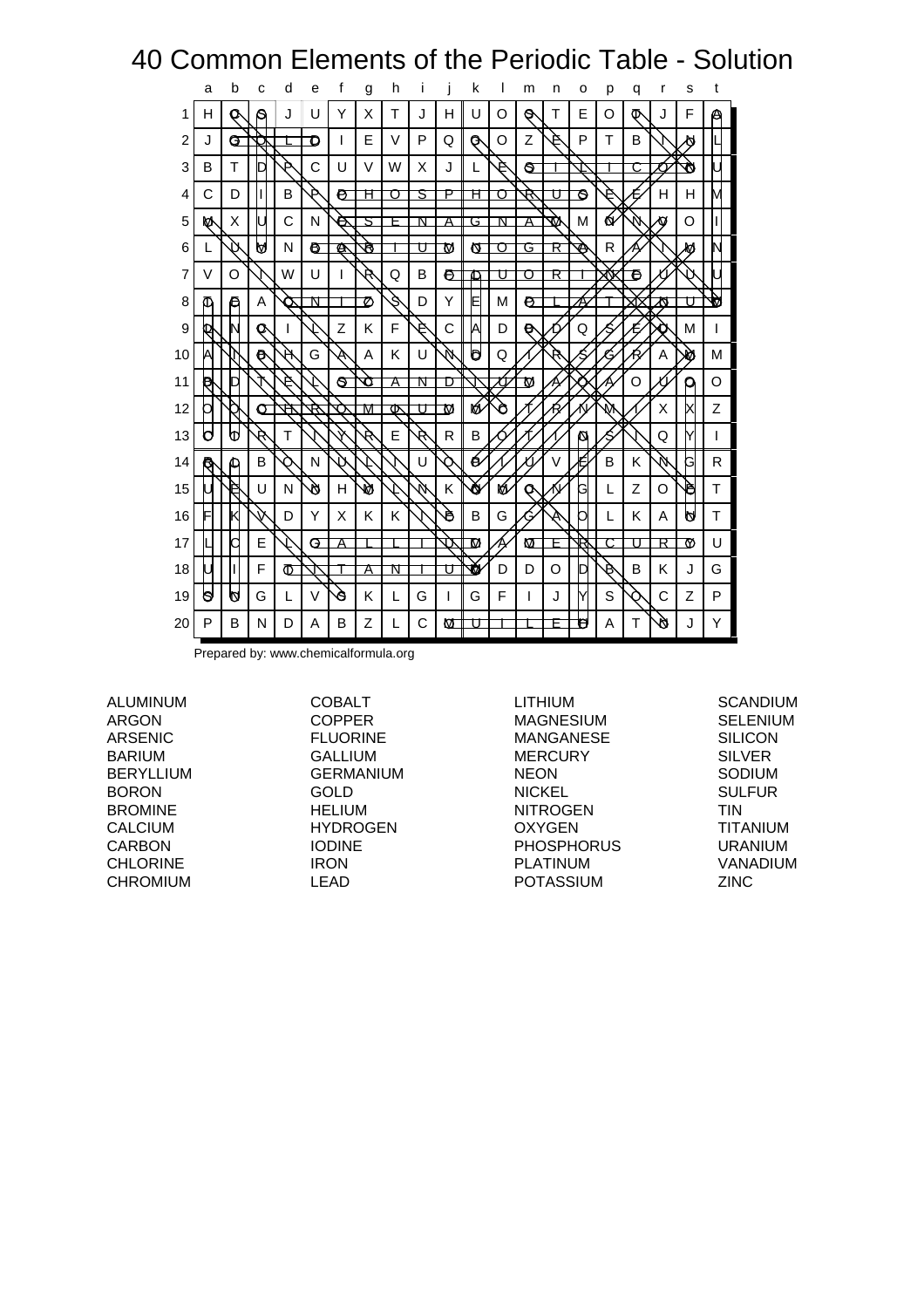## 40 Common Elements of the Periodic Table - Solution

|    | a   | b | C                 | d | e  | f   | g | h |   |    | k |    | m | n      | о  | р | q | r | s  | t |
|----|-----|---|-------------------|---|----|-----|---|---|---|----|---|----|---|--------|----|---|---|---|----|---|
| 1  | н   | O | s                 | J | U  | Υ   | X | т | J | н  | U | O  | 0 | т      | E  | O | ው | J | F  | Α |
| 2  | J   | G |                   |   | ο  | L   | Е | V | P | Q  | G | O  | z | 4      | P  | Т | В |   | Ø  |   |
| 3  | B   | т | Г                 | Ď | Ć  | U   | V | W | X | J  | L | 4  | ଟ |        |    |   |   |   | ₩  |   |
| 4  | C   | D | I                 | B | 4  | P   | Ħ | ◯ | ਤ | Р  | Ħ | ⊓  | R |        | ৪  | P |   | н | н  | M |
| 5  | ⋫   | X |                   | C | N  | Θ   | 5 | F | Ν | Α  | G | N  | Α | ₩      | М  | Q | N | Ω | O  |   |
| 6  | L   |   | М                 | N | e. | Ø   | R |   | Π | M  | и | Π  | G | R      | ↭  | R |   |   | м  |   |
| 7  | V   | O |                   | W | U  | I   | Ŕ | Q | B | Đ  | ◫ | П  | Ω | R      |    | ₩ | e |   |    |   |
| 8  | ወ   | Θ | Α                 |   | ₦  |     | Ø | Ś | D | Υ  | E | M  | e |        |    |   |   | ন |    | v |
| 9  |     |   | o                 | ı |    | Z   | Κ | F | 4 | C  | A | D  | e |        | Q  |   |   |   | М  | I |
| 10 | А   |   | $\mathbf{\Theta}$ | Η | G  | A   | A | Κ | U | W  | b | Q  |   |        |    |   |   | A | ۸Ù | M |
| 11 | e   | ┘ |                   | 4 |    | ଟ୍ଟ | л | A | ₦ | n  |   | ΠJ | Μ |        |    |   | O |   | р  | O |
| 12 | П   |   | σ                 | 仓 |    |     | М | ক | Π | M  | M | Ò  |   |        |    | W |   | X |    | Z |
| 13 | b   | ₩ | Ŕ                 | т |    |     | Ŕ | E | Ŕ | R  | B |    |   |        | Ø  |   |   | Q | Y  | I |
| 14 | ্বি | മ | в                 | n | N  | 11  |   |   | U | ∩  | é |    |   | $\vee$ | É  | B | Κ | N | G  | R |
| 15 |     | ₽ | Ū                 | N | ø  | H   | N |   | Ņ | Κ  | Ŏ | ró | O |        | G  | L | Z | O | è  | Т |
| 16 | F   |   |                   | D | Y  | X   | Κ | K |   | ð  | B | G  |   | A      |    | L | Κ | A | A  | Т |
| 17 |     | 2 | E                 |   | G  | Α   |   |   |   | J٦ | M |    | Μ | F      | R  |   | П | R | ₩  | U |
| 18 |     | I | F                 | Φ |    |     | Α | N |   | п  | ₩ | D  | D | O      |    | B | B | κ | J  | G |
| 19 | b   | И | G                 | L | V  | Ò   | Κ | L | G | I  | G | F  | I | J      | lY | S |   | С | Z  | P |
| 20 | P   | в | N                 | D | Α  | B   | Z | L | C | М  |   |    |   |        | U  | Α | Т | ø | J  | Υ |

Prepared by: www.chemicalformula.org

ALUMINUM ARGON ARSENIC BARIUM BERYLLIUM BORON BROMINE CALCIUM CARBON CHLORINE CHROMIUM

COBALT COPPER FLUORINE GALLIUM GERMANIUM GOLD HELIUM HYDROGEN IODINE IRON LEAD

LITHIUM MAGNESIUM MANGANESE MERCURY NEON NICKEL NITROGEN **OXYGEN** PHOSPHORUS PLATINUM POTASSIUM

**SCANDIUM** SELENIUM SILICON SILVER SODIUM SULFUR TIN TITANIUM URANIUM VANADIUM ZINC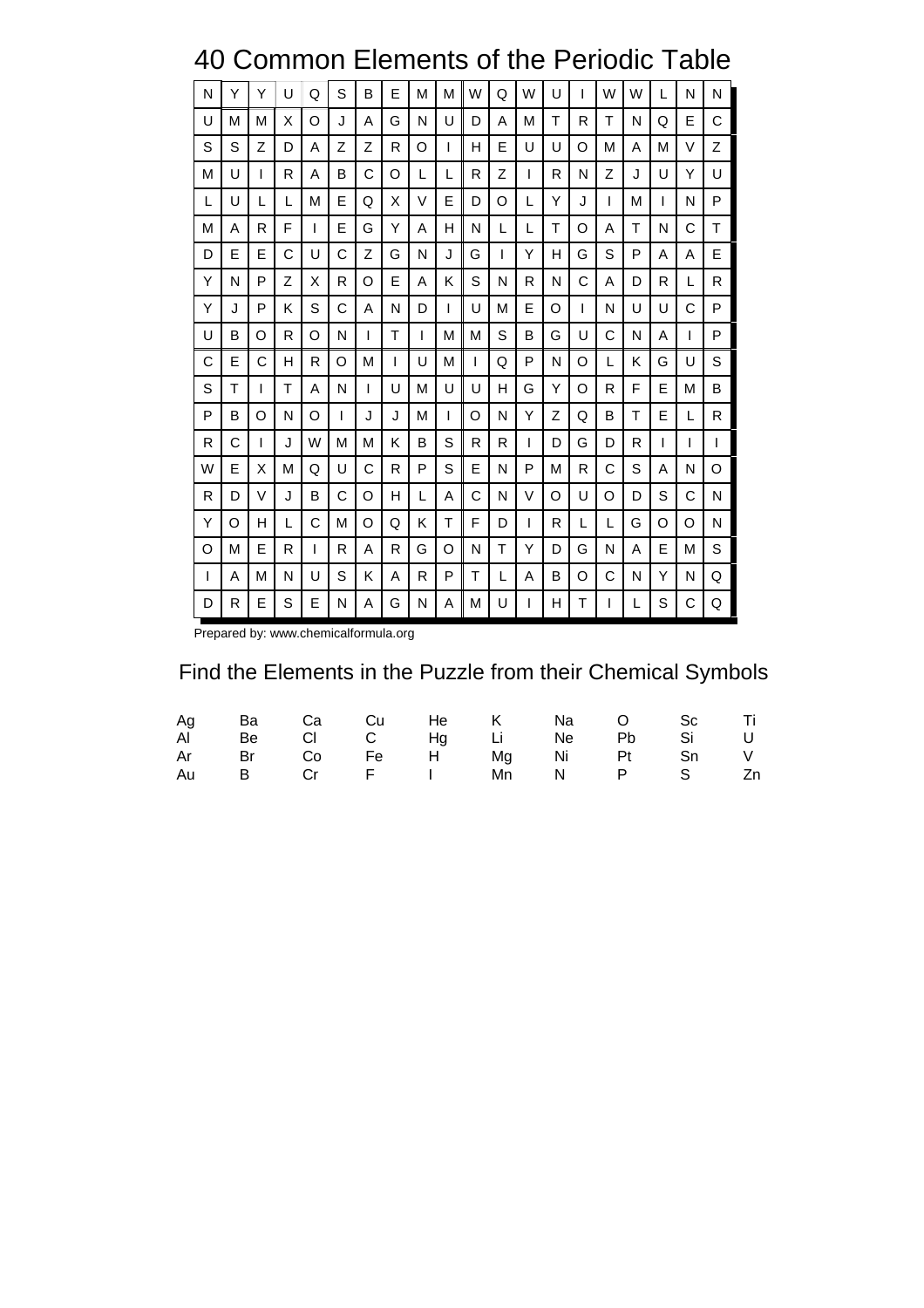## 40 Common Elements of the Periodic Table

| N | Y | Y | U | Q | S | B | E | М | М | W | Q | W | U | L | W | W | L | N | N |
|---|---|---|---|---|---|---|---|---|---|---|---|---|---|---|---|---|---|---|---|
| U | М | М | X | O | J | A | G | N | U | D | A | M | т | R | т | N | Q | Е | C |
| S | S | Z | D | A | Z | Z | R | O | I | н | E | U | U | O | М | Α | м | V | Z |
| М | U | I | R | A | B | C | O | L | L | R | Z | I | R | N | Z | J | U | Υ | U |
| L | U | L | L | M | E | Q | X | V | E | D | O | L | Y | J | L | М | L | N | P |
| М | A | R | F | L | E | G | Y | A | н | N | L | L | Τ | O | A | т | N | C | Τ |
| D | E | E | C | U | C | Z | G | N | J | G | L | Y | н | G | S | P | A | A | E |
| Υ | N | P | Z | X | R | O | E | A | Κ | S | N | R | N | C | A | D | R | L | R |
| Υ | J | P | Κ | S | C | A | N | D | Ш | U | М | E | O | L | N | U | U | C | P |
| U | в | O | R | O | N | I | Τ | L | М | M | S | в | G | U | C | N | A | I | P |
| C | E | C | H | R | O | M | I | U | М | L | Q | P | N | O | L | Κ | G | U | S |
| S | Τ | L | т | A | N | I | U | М | U | U | н | G | Y | O | R | F | E | М | в |
| P | в | O | N | O | L | J | J | М | L | O | N | Y | Z | Q | B | т | E | L | R |
| R | C | T | J | W | М | М | Κ | B | S | R | R | L | D | G | D | R | L | I | T |
| W | E | X | М | Q | U | С | R | P | S | E | N | P | М | R | С | S | Α | N | O |
| R | D | V | J | B | C | O | н | L | Α | C | N | V | O | U | O | D | S | C | N |
| Y | O | н | L | С | M | O | Q | Κ | т | F | D | L | R | L | L | G | O | O | N |
| O | M | Е | R | L | R | A | R | G | O | N | т | Y | D | G | N | A | Е | М | S |
| L | Α | M | N | U | S | κ | A | R | P | т | L | A | в | O | C | N | Y | N | Q |
| D | R | Е | S | E | Ν | Α | G | N | Α | M | U | I | н | Τ | I | L | S | С | Q |

Prepared by: www.chemicalformula.org

### Find the Elements in the Puzzle from their Chemical Symbols

|  |  | Ag Ba Ca Cu He K Na O Sc Ti |  |  |
|--|--|-----------------------------|--|--|
|  |  | AI Be CI C Hg Li Ne Pb Si U |  |  |
|  |  | Ar Br Co Fe H Mg Ni Pt Sn V |  |  |
|  |  | Au B Cr F I Mn N P S Zn     |  |  |